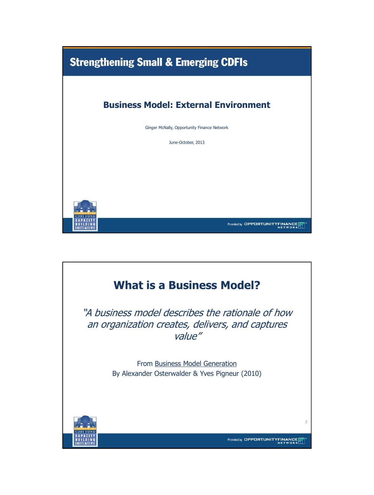

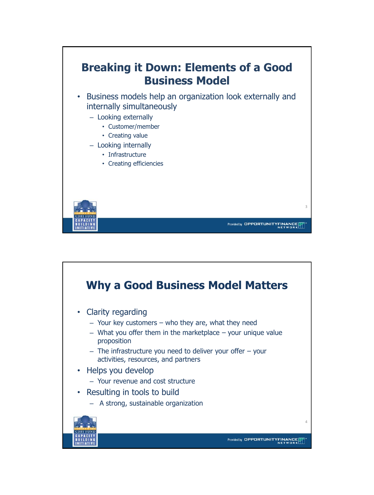

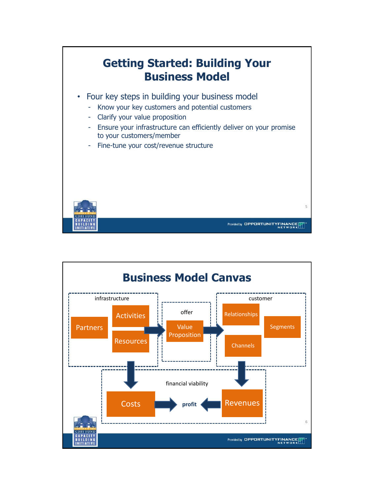

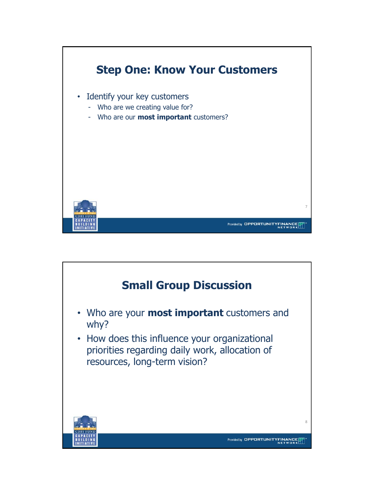

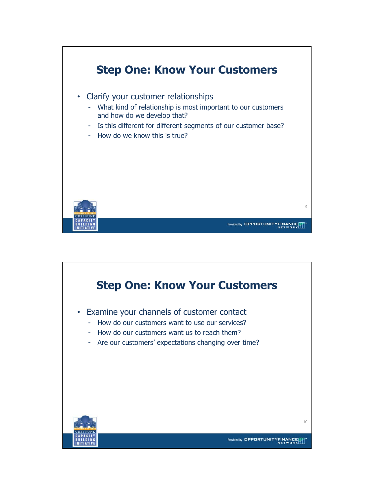

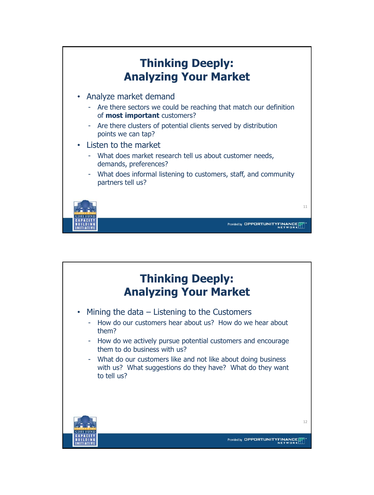

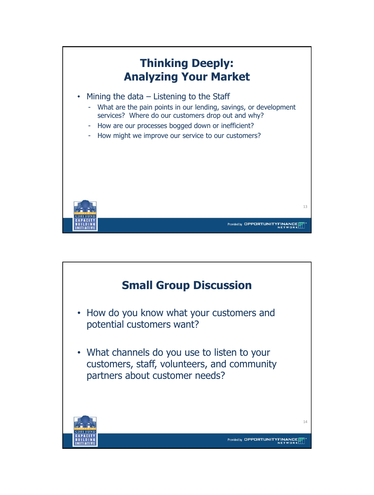

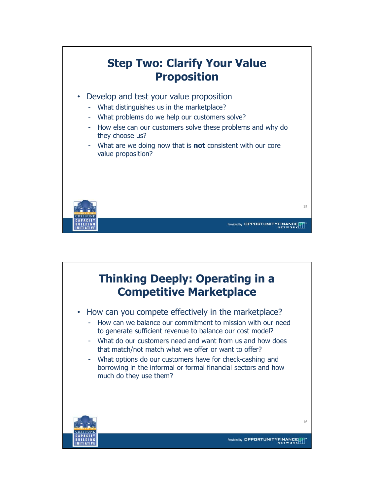

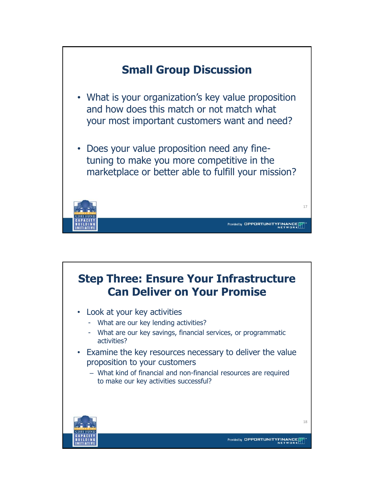

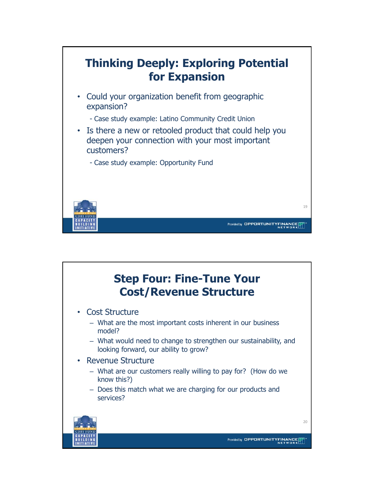

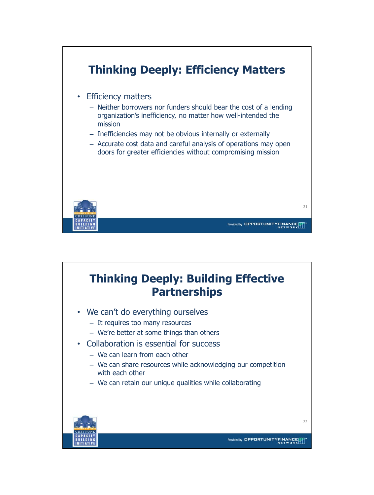

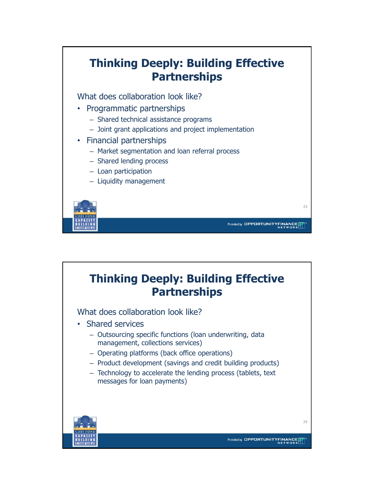

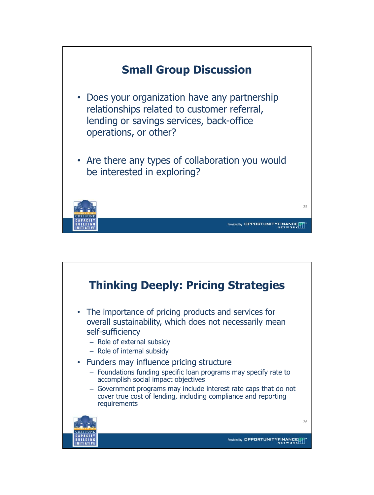

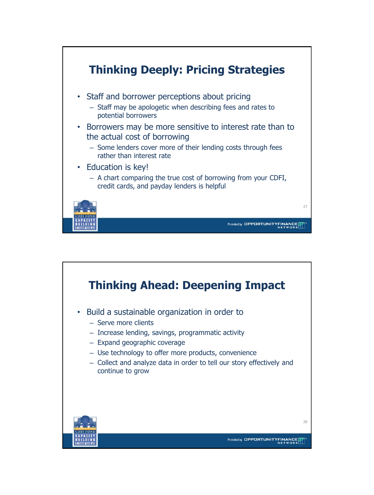

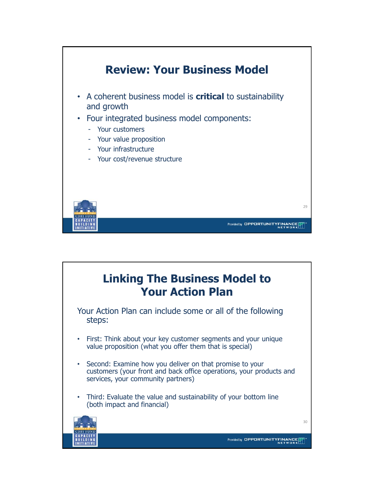